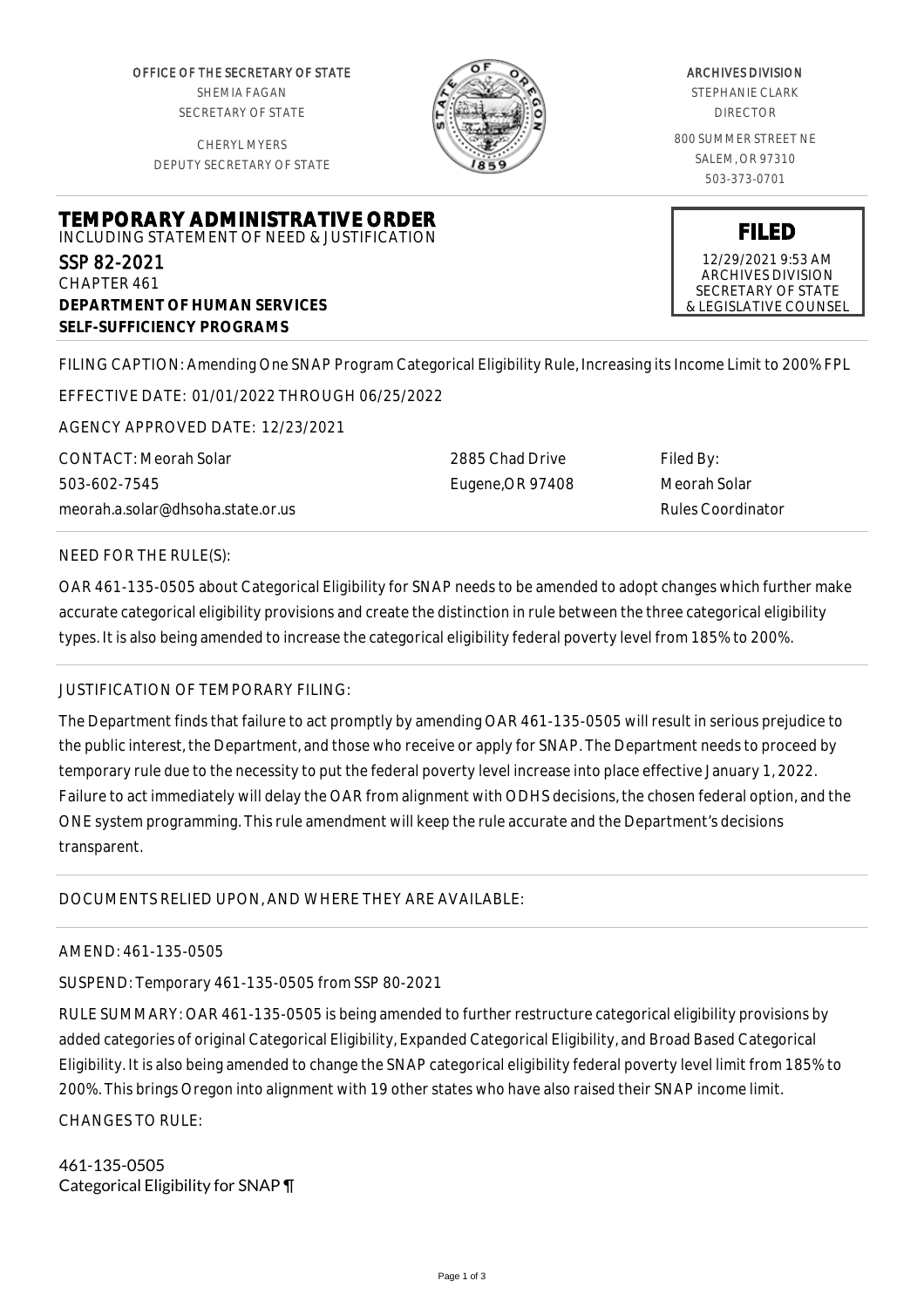OFFICE OF THE SECRETARY OF STATE SHEMIA FAGAN SECRETARY OF STATE

CHERYL MYERS DEPUTY SECRETARY OF STATE



### ARCHIVES DIVISION

STEPHANIE CLARK DIRECTOR

800 SUMMER STREET NE SALEM, OR 97310 503-373-0701

**FILED** 12/29/2021 9:53 AM ARCHIVES DIVISION SECRETARY OF STATE & LEGISLATIVE COUNSEL

# **TEMPORARY ADMINISTRATIVE ORDER** INCLUDING STATEMENT OF NEED & JUSTIFICATION SSP 82-2021 CHAPTER 461

**DEPARTMENT OF HUMAN SERVICES SELF-SUFFICIENCY PROGRAMS**

FILING CAPTION: Amending One SNAP Program Categorical Eligibility Rule, Increasing its Income Limit to 200% FPL

EFFECTIVE DATE: 01/01/2022 THROUGH 06/25/2022

AGENCY APPROVED DATE: 12/23/2021

CONTACT: Meorah Solar 503-602-7545 meorah.a.solar@dhsoha.state.or.us 2885 Chad Drive Eugene,OR 97408 Filed By: Meorah Solar Rules Coordinator

## NEED FOR THE RULE(S):

OAR 461-135-0505 about Categorical Eligibility for SNAP needs to be amended to adopt changes which further make accurate categorical eligibility provisions and create the distinction in rule between the three categorical eligibility types. It is also being amended to increase the categorical eligibility federal poverty level from 185% to 200%.

## JUSTIFICATION OF TEMPORARY FILING:

The Department finds that failure to act promptly by amending OAR 461-135-0505 will result in serious prejudice to the public interest, the Department, and those who receive or apply for SNAP. The Department needs to proceed by temporary rule due to the necessity to put the federal poverty level increase into place effective January 1, 2022. Failure to act immediately will delay the OAR from alignment with ODHS decisions, the chosen federal option, and the ONE system programming. This rule amendment will keep the rule accurate and the Department's decisions transparent.

DOCUMENTS RELIED UPON, AND WHERE THEY ARE AVAILABLE:

## AMEND: 461-135-0505

SUSPEND: Temporary 461-135-0505 from SSP 80-2021

RULE SUMMARY: OAR 461-135-0505 is being amended to further restructure categorical eligibility provisions by added categories of original Categorical Eligibility, Expanded Categorical Eligibility, and Broad Based Categorical Eligibility. It is also being amended to change the SNAP categorical eligibility federal poverty level limit from 185% to 200%. This brings Oregon into alignment with 19 other states who have also raised their SNAP income limit.

CHANGES TO RULE:

461-135-0505 Categorical Eligibility for SNAP ¶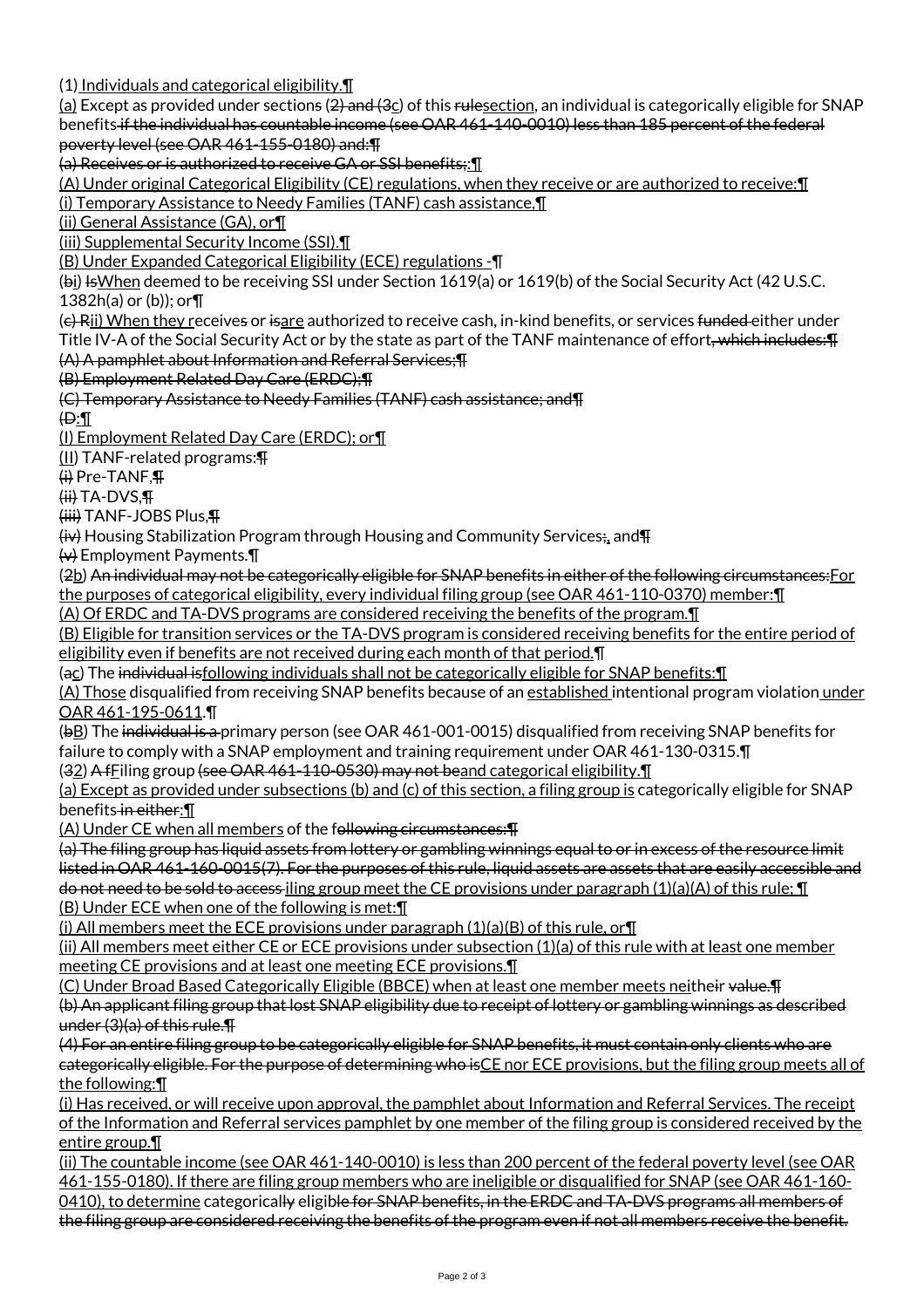(1) Individuals and categorical eligibility.¶

 $(a)$  Except as provided under sections (2) and (3 $c$ ) of this rulesection, an individual is categorically eligible for SNAP benefits if the individual has countable income (see OAR 461-140-0010) less than 185 percent of the federal poverty level (see OAR 461-155-0180) and:¶

(a) Receives or is authorized to receive GA or SSI benefits;:¶

(A) Under original Categorical Eligibility (CE) regulations, when they receive or are authorized to receive:¶ (i) Temporary Assistance to Needy Families (TANF) cash assistance,¶

(ii) General Assistance (GA), or¶

(iii) Supplemental Security Income (SSI).¶

(B) Under Expanded Categorical Eligibility (ECE) regulations -¶

(bi) IsWhen deemed to be receiving SSI under Section 1619(a) or 1619(b) of the Social Security Act (42 U.S.C. 1382h(a) or (b)); or¶

(e) Rii) When they receives or isare authorized to receive cash, in-kind benefits, or services funded either under Title IV-A of the Social Security Act or by the state as part of the TANF maintenance of effort<del>, which includes: T</del> (A) A pamphlet about Information and Referral Services;¶

(B) Employment Related Day Care (ERDC);¶

(C) Temporary Assistance to Needy Families (TANF) cash assistance; and¶

 $\oplus$ :

(I) Employment Related Day Care (ERDC); or¶

(II) TANF-related programs:¶

(i) Pre-TANF,¶

 $(H<sup>i</sup>)$  TA-DVS. $\P$ 

(iii) TANF-JOBS Plus,¶

 $\overleftrightarrow{\mathbf{u}}$  Housing Stabilization Program through Housing and Community Services;, and  $\overline{\mathbf{H}}$ 

 $\leftrightarrow$  Employment Payments. $\P$ 

(2b) An individual may not be categorically eligible for SNAP benefits in either of the following circumstances:For the purposes of categorical eligibility, every individual filing group (see OAR 461-110-0370) member:¶

(A) Of ERDC and TA-DVS programs are considered receiving the benefits of the program.¶

(B) Eligible for transition services or the TA-DVS program is considered receiving benefits for the entire period of eligibility even if benefits are not received during each month of that period. I

(ac) The individual isfollowing individuals shall not be categorically eligible for SNAP benefits:¶

(A) Those disqualified from receiving SNAP benefits because of an established intentional program violation under OAR 461-195-0611.¶

(bB) The individual is a primary person (see OAR 461-001-0015) disqualified from receiving SNAP benefits for failure to comply with a SNAP employment and training requirement under OAR 461-130-0315.¶

(32) A fFiling group (see OAR 461-110-0530) may not beand categorical eligibility.¶

(a) Except as provided under subsections (b) and (c) of this section, a filing group is categorically eligible for SNAP benefits in either:¶

(A) Under CE when all members of the following circumstances:¶

(a) The filing group has liquid assets from lottery or gambling winnings equal to or in excess of the resource limit listed in OAR 461-160-0015(7). For the purposes of this rule, liquid assets are assets that are easily accessible and do not need to be sold to access iling group meet the CE provisions under paragraph  $(1)(a)(A)$  of this rule;  $\P$ (B) Under ECE when one of the following is met:¶

(i) All members meet the ECE provisions under paragraph  $(1)(a)(B)$  of this rule, or  $\P$ 

(ii) All members meet either CE or ECE provisions under subsection (1)(a) of this rule with at least one member meeting CE provisions and at least one meeting ECE provisions.¶

(C) Under Broad Based Categorically Eligible (BBCE) when at least one member meets neitheir value.¶ (b) An applicant filing group that lost SNAP eligibility due to receipt of lottery or gambling winnings as described under (3)(a) of this rule.¶

(4) For an entire filing group to be categorically eligible for SNAP benefits, it must contain only clients who are categorically eligible. For the purpose of determining who isCE nor ECE provisions, but the filing group meets all of the following:¶

(i) Has received, or will receive upon approval, the pamphlet about Information and Referral Services. The receipt of the Information and Referral services pamphlet by one member of the filing group is considered received by the entire group.¶

(ii) The countable income (see OAR 461-140-0010) is less than 200 percent of the federal poverty level (see OAR 461-155-0180). If there are filing group members who are ineligible or disqualified for SNAP (see OAR 461-160- 0410), to determine categorically eligible for SNAP benefits, in the ERDC and TA-DVS programs all members of the filing group are considered receiving the benefits of the program even if not all members receive the benefit.